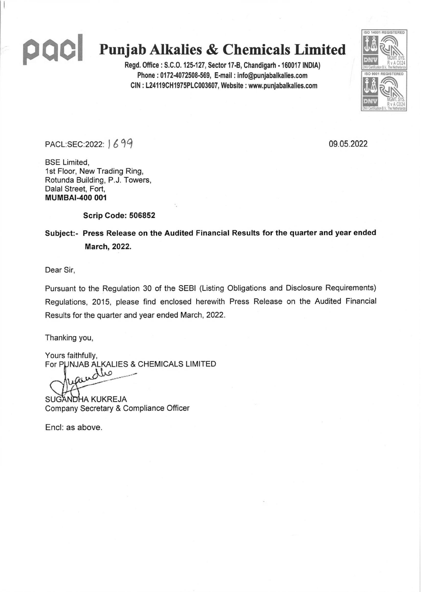# QCI

## Punjab Alkalies & Chemicals Limited

Regd. Office: S.C.O. 125-127, Sector 17-B, Chandigarh - 160017 INDIA) Phone: 0172-4072508-569, E-mail: info@punjabalkalies.com CIN: L24119CH1975PLC003607, Website: www.punjabalkalies.com



PACL:SEC:2022: 1699

09.05.2022

**BSE Limited.** 1st Floor, New Trading Ring, Rotunda Building, P.J. Towers, Dalal Street, Fort, **MUMBAI-400 001** 

Scrip Code: 506852

Subject:- Press Release on the Audited Financial Results for the quarter and year ended March, 2022.

Dear Sir,

Pursuant to the Regulation 30 of the SEBI (Listing Obligations and Disclosure Requirements) Regulations, 2015, please find enclosed herewith Press Release on the Audited Financial Results for the quarter and year ended March, 2022.

Thanking you,

Yours faithfully, For PUNJAB ALKALIES & CHEMICALS LIMITED

dlo Gil

SUGANDHA KUKREJA Company Secretary & Compliance Officer

Encl: as above.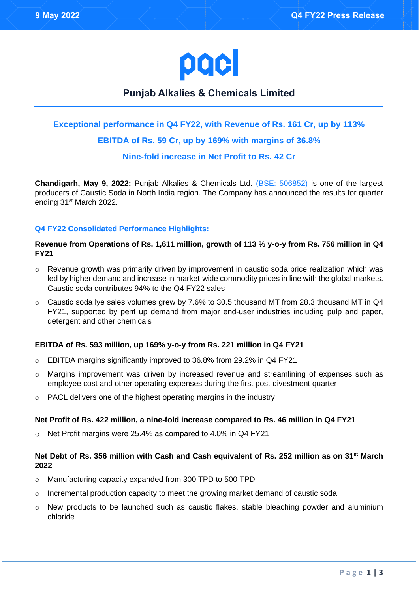

### **Punjab Alkalies & Chemicals Limited**

#### **Exceptional performance in Q4 FY22, with Revenue of Rs. 161 Cr, up by 113%**

#### **EBITDA of Rs. 59 Cr, up by 169% with margins of 36.8%**

#### **Nine-fold increase in Net Profit to Rs. 42 Cr**

**Chandigarh, May 9, 2022:** Punjab Alkalies & Chemicals Ltd. [\(BSE: 506852\)](https://www.bseindia.com/stock-share-price/punjab-alkalies--chemicals-ltd/pacl/506852/) is one of the largest producers of Caustic Soda in North India region. The Company has announced the results for quarter ending 31<sup>st</sup> March 2022.

#### **Q4 FY22 Consolidated Performance Highlights:**

#### **Revenue from Operations of Rs. 1,611 million, growth of 113 % y-o-y from Rs. 756 million in Q4 FY21**

- o Revenue growth was primarily driven by improvement in caustic soda price realization which was led by higher demand and increase in market-wide commodity prices in line with the global markets. Caustic soda contributes 94% to the Q4 FY22 sales
- $\circ$  Caustic soda Ive sales volumes grew by 7.6% to 30.5 thousand MT from 28.3 thousand MT in Q4 FY21, supported by pent up demand from major end-user industries including pulp and paper, detergent and other chemicals

#### **EBITDA of Rs. 593 million, up 169% y-o-y from Rs. 221 million in Q4 FY21**

- o EBITDA margins significantly improved to 36.8% from 29.2% in Q4 FY21
- $\circ$  Margins improvement was driven by increased revenue and streamlining of expenses such as employee cost and other operating expenses during the first post-divestment quarter
- o PACL delivers one of the highest operating margins in the industry

#### **Net Profit of Rs. 422 million, a nine-fold increase compared to Rs. 46 million in Q4 FY21**

o Net Profit margins were 25.4% as compared to 4.0% in Q4 FY21

#### **Net Debt of Rs. 356 million with Cash and Cash equivalent of Rs. 252 million as on 31st March 2022**

- o Manufacturing capacity expanded from 300 TPD to 500 TPD
- $\circ$  Incremental production capacity to meet the growing market demand of caustic soda
- $\circ$  New products to be launched such as caustic flakes, stable bleaching powder and aluminium chloride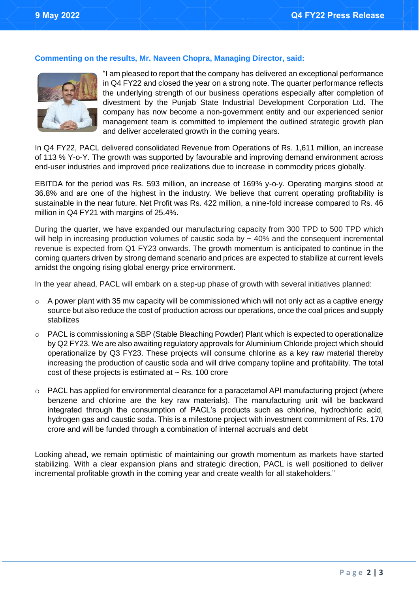#### **Commenting on the results, Mr. Naveen Chopra, Managing Director, said:**



"I am pleased to report that the company has delivered an exceptional performance in Q4 FY22 and closed the year on a strong note. The quarter performance reflects the underlying strength of our business operations especially after completion of divestment by the Punjab State Industrial Development Corporation Ltd. The company has now become a non-government entity and our experienced senior management team is committed to implement the outlined strategic growth plan and deliver accelerated growth in the coming years.

In Q4 FY22, PACL delivered consolidated Revenue from Operations of Rs. 1,611 million, an increase of 113 % Y-o-Y. The growth was supported by favourable and improving demand environment across end-user industries and improved price realizations due to increase in commodity prices globally.

EBITDA for the period was Rs. 593 million, an increase of 169% y-o-y. Operating margins stood at 36.8% and are one of the highest in the industry. We believe that current operating profitability is sustainable in the near future. Net Profit was Rs. 422 million, a nine-fold increase compared to Rs. 46 million in Q4 FY21 with margins of 25.4%.

During the quarter, we have expanded our manufacturing capacity from 300 TPD to 500 TPD which will help in increasing production volumes of caustic soda by  $\sim$  40% and the consequent incremental revenue is expected from Q1 FY23 onwards. The growth momentum is anticipated to continue in the coming quarters driven by strong demand scenario and prices are expected to stabilize at current levels amidst the ongoing rising global energy price environment.

In the year ahead, PACL will embark on a step-up phase of growth with several initiatives planned:

- $\circ$  A power plant with 35 mw capacity will be commissioned which will not only act as a captive energy source but also reduce the cost of production across our operations, once the coal prices and supply stabilizes
- o PACL is commissioning a SBP (Stable Bleaching Powder) Plant which is expected to operationalize by Q2 FY23. We are also awaiting regulatory approvals for Aluminium Chloride project which should operationalize by Q3 FY23. These projects will consume chlorine as a key raw material thereby increasing the production of caustic soda and will drive company topline and profitability. The total cost of these projects is estimated at  $\sim$  Rs. 100 crore
- $\circ$  PACL has applied for environmental clearance for a paracetamol API manufacturing project (where benzene and chlorine are the key raw materials). The manufacturing unit will be backward integrated through the consumption of PACL's products such as chlorine, hydrochloric acid, hydrogen gas and caustic soda. This is a milestone project with investment commitment of Rs. 170 crore and will be funded through a combination of internal accruals and debt

Looking ahead, we remain optimistic of maintaining our growth momentum as markets have started stabilizing. With a clear expansion plans and strategic direction, PACL is well positioned to deliver incremental profitable growth in the coming year and create wealth for all stakeholders."